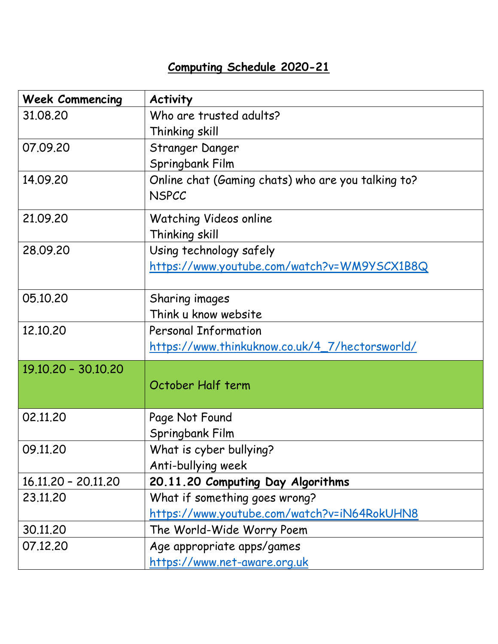## **Computing Schedule 2020-21**

| <b>Week Commencing</b> | <b>Activity</b>                                                    |
|------------------------|--------------------------------------------------------------------|
| 31,08,20               | Who are trusted adults?                                            |
|                        | Thinking skill                                                     |
| 07.09.20               | Stranger Danger                                                    |
|                        | Springbank Film                                                    |
| 14.09.20               | Online chat (Gaming chats) who are you talking to?<br><b>NSPCC</b> |
|                        |                                                                    |
| 21.09.20               | <b>Watching Videos online</b>                                      |
|                        | Thinking skill                                                     |
| 28.09.20               | Using technology safely                                            |
|                        | <u> https://www.youtube.com/watch?v=WM9YSCX1B8Q</u>                |
|                        |                                                                    |
| 05.10.20               | Sharing images                                                     |
|                        | Think u know website                                               |
| 12.10.20               | <b>Personal Information</b>                                        |
|                        | <u> https://www.thinkuknow.co.uk/4_7/hectorsworld/</u>             |
| 19.10.20 - 30.10.20    |                                                                    |
|                        | October Half term                                                  |
|                        |                                                                    |
| 02.11.20               | Page Not Found                                                     |
|                        | Springbank Film                                                    |
| 09.11.20               | What is cyber bullying?                                            |
|                        | Anti-bullying week                                                 |
| 16.11.20 - 20.11.20    | 20.11.20 Computing Day Algorithms                                  |
| 23.11.20               | What if something goes wrong?                                      |
|                        | https://www.youtube.com/watch?v=iN64RokUHN8                        |
| 30.11.20               | The World-Wide Worry Poem                                          |
| 07.12.20               | Age appropriate apps/games                                         |
|                        | <u>https://www.net-aware.org.uk</u>                                |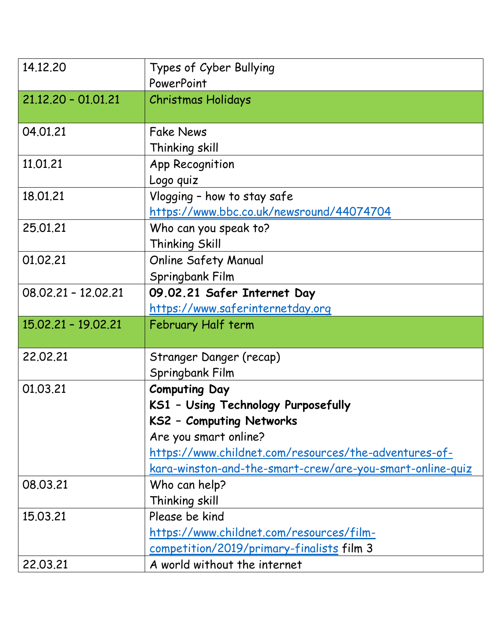| 14.12.20              | Types of Cyber Bullying<br>PowerPoint                     |
|-----------------------|-----------------------------------------------------------|
| $21.12.20 - 01.01.21$ | <b>Christmas Holidays</b>                                 |
|                       |                                                           |
| 04.01.21              | <b>Fake News</b>                                          |
|                       | Thinking skill                                            |
| 11.01.21              | App Recognition                                           |
|                       | Logo quiz                                                 |
| 18.01.21              | Vlogging - how to stay safe                               |
|                       | https://www.bbc.co.uk/newsround/44074704                  |
| 25.01.21              | Who can you speak to?                                     |
|                       | Thinking Skill                                            |
| 01.02.21              | <b>Online Safety Manual</b>                               |
|                       | Springbank Film                                           |
| $08.02.21 - 12.02.21$ | 09.02.21 Safer Internet Day                               |
|                       | https://www.saferinternetday.org                          |
| 15.02.21 - 19.02.21   | February Half term                                        |
|                       |                                                           |
| 22,02.21              | Stranger Danger (recap)                                   |
|                       | Springbank Film                                           |
| 01.03.21              | <b>Computing Day</b>                                      |
|                       | KS1 - Using Technology Purposefully                       |
|                       | KS2 - Computing Networks                                  |
|                       | Are you smart online?                                     |
|                       | https://www.childnet.com/resources/the-adventures-of-     |
|                       | kara-winston-and-the-smart-crew/are-you-smart-online-quiz |
| 08.03.21              | Who can help?                                             |
|                       | Thinking skill                                            |
| 15.03.21              | Please be kind                                            |
|                       | https://www.childnet.com/resources/film-                  |
|                       | competition/2019/primary-finalists film 3                 |
| 22.03.21              | A world without the internet                              |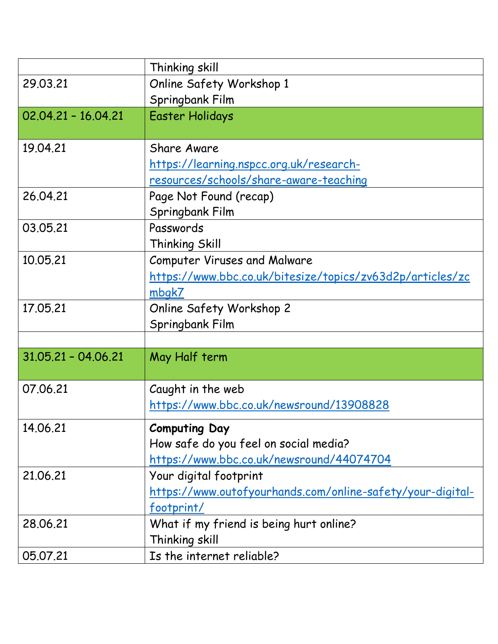|                       | Thinking skill                                             |
|-----------------------|------------------------------------------------------------|
| 29.03.21              | Online Safety Workshop 1                                   |
|                       | Springbank Film                                            |
| $02.04.21 - 16.04.21$ | <b>Easter Holidays</b>                                     |
|                       |                                                            |
| 19.04.21              | <b>Share Aware</b>                                         |
|                       | https://learning.nspcc.org.uk/research-                    |
|                       | resources/schools/share-aware-teaching                     |
| 26.04.21              | Page Not Found (recap)                                     |
|                       | Springbank Film                                            |
| 03.05.21              | Passwords                                                  |
|                       | Thinking Skill                                             |
| 10.05.21              | <b>Computer Viruses and Malware</b>                        |
|                       | https://www.bbc.co.uk/bitesize/topics/zv63d2p/articles/zc  |
|                       | mbgk7                                                      |
| 17.05.21              | Online Safety Workshop 2                                   |
|                       | Springbank Film                                            |
|                       |                                                            |
| $31.05.21 - 04.06.21$ | May Half term                                              |
|                       |                                                            |
| 07.06.21              | Caught in the web                                          |
|                       | https://www.bbc.co.uk/newsround/13908828                   |
| 14.06.21              | <b>Computing Day</b>                                       |
|                       | How safe do you feel on social media?                      |
|                       | https://www.bbc.co.uk/newsround/44074704                   |
| 21.06.21              | Your digital footprint                                     |
|                       | https://www.outofyourhands.com/online-safety/your-digital- |
|                       | footprint/                                                 |
| 28.06.21              | What if my friend is being hurt online?                    |
|                       | Thinking skill                                             |
| 05.07.21              | Is the internet reliable?                                  |